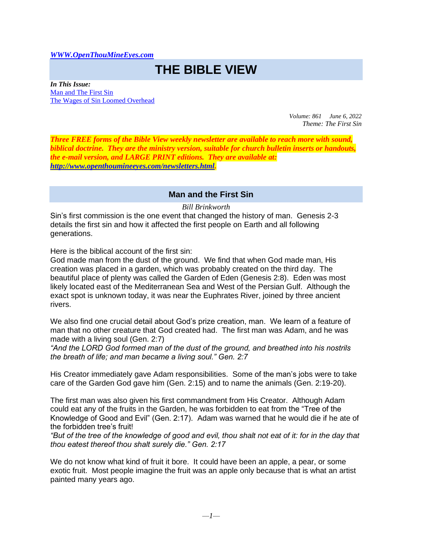## *[WWW.OpenThouMineEyes.com](http://www.openthoumineeyes.com/)*

## **THE BIBLE VIEW**

*In This Issue:* [Man and The First Sin](#page-0-0) [The Wages of Sin Loomed Overhead](#page-2-0)

> *Volume: 861 June 6, 2022 Theme: The First Sin*

*Three FREE forms of the Bible View weekly newsletter are available to reach more with sound, biblical doctrine. They are the ministry version, suitable for church bulletin inserts or handouts, the e-mail version, and LARGE PRINT editions. They are available at: [http://www.openthoumineeyes.com/newsletters.html.](http://www.openthoumineeyes.com/newsletters.html)* 

## **Man and the First Sin**

*Bill Brinkworth*

<span id="page-0-0"></span>Sin's first commission is the one event that changed the history of man. Genesis 2-3 details the first sin and how it affected the first people on Earth and all following generations.

Here is the biblical account of the first sin:

God made man from the dust of the ground. We find that when God made man, His creation was placed in a garden, which was probably created on the third day. The beautiful place of plenty was called the Garden of Eden (Genesis 2:8). Eden was most likely located east of the Mediterranean Sea and West of the Persian Gulf. Although the exact spot is unknown today, it was near the Euphrates River, joined by three ancient rivers.

We also find one crucial detail about God's prize creation, man. We learn of a feature of man that no other creature that God created had. The first man was Adam, and he was made with a living soul (Gen. 2:7)

*"And the LORD God formed man of the dust of the ground, and breathed into his nostrils the breath of life; and man became a living soul." Gen. 2:7*

His Creator immediately gave Adam responsibilities. Some of the man's jobs were to take care of the Garden God gave him (Gen. 2:15) and to name the animals (Gen. 2:19-20).

The first man was also given his first commandment from His Creator. Although Adam could eat any of the fruits in the Garden, he was forbidden to eat from the "Tree of the Knowledge of Good and Evil" (Gen. 2:17). Adam was warned that he would die if he ate of the forbidden tree's fruit!

*"But of the tree of the knowledge of good and evil, thou shalt not eat of it: for in the day that thou eatest thereof thou shalt surely die." Gen. 2:17*

We do not know what kind of fruit it bore. It could have been an apple, a pear, or some exotic fruit. Most people imagine the fruit was an apple only because that is what an artist painted many years ago.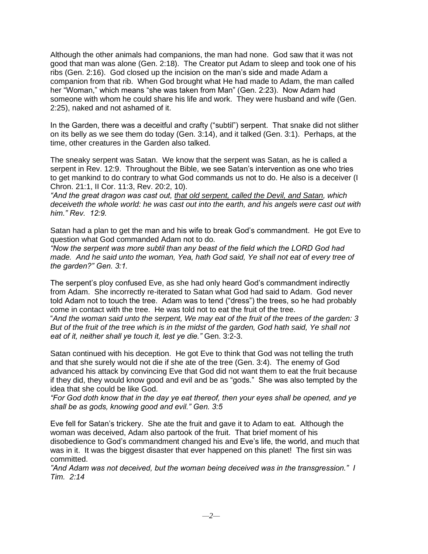Although the other animals had companions, the man had none. God saw that it was not good that man was alone (Gen. 2:18). The Creator put Adam to sleep and took one of his ribs (Gen. 2:16). God closed up the incision on the man's side and made Adam a companion from that rib. When God brought what He had made to Adam, the man called her "Woman," which means "she was taken from Man" (Gen. 2:23). Now Adam had someone with whom he could share his life and work. They were husband and wife (Gen. 2:25), naked and not ashamed of it.

In the Garden, there was a deceitful and crafty ("subtil") serpent. That snake did not slither on its belly as we see them do today (Gen. 3:14), and it talked (Gen. 3:1). Perhaps, at the time, other creatures in the Garden also talked.

The sneaky serpent was Satan. We know that the serpent was Satan, as he is called a serpent in Rev. 12:9. Throughout the Bible, we see Satan's intervention as one who tries to get mankind to do contrary to what God commands us not to do. He also is a deceiver (I Chron. 21:1, II Cor. 11:3, Rev. 20:2, 10).

*"And the great dragon was cast out, that old serpent, called the Devil, and Satan, which deceiveth the whole world: he was cast out into the earth, and his angels were cast out with him." Rev. 12:9.*

Satan had a plan to get the man and his wife to break God's commandment. He got Eve to question what God commanded Adam not to do.

*"Now the serpent was more subtil than any beast of the field which the LORD God had made. And he said unto the woman, Yea, hath God said, Ye shall not eat of every tree of the garden?" Gen. 3:1.* 

The serpent's ploy confused Eve, as she had only heard God's commandment indirectly from Adam. She incorrectly re-iterated to Satan what God had said to Adam. God never told Adam not to touch the tree. Adam was to tend ("dress") the trees, so he had probably come in contact with the tree. He was told not to eat the fruit of the tree.

"*And the woman said unto the serpent, We may eat of the fruit of the trees of the garden: 3 But of the fruit of the tree which is in the midst of the garden, God hath said, Ye shall not eat of it, neither shall ye touch it, lest ye die."* Gen. 3:2-3.

Satan continued with his deception. He got Eve to think that God was not telling the truth and that she surely would not die if she ate of the tree (Gen. 3:4). The enemy of God advanced his attack by convincing Eve that God did not want them to eat the fruit because if they did, they would know good and evil and be as "gods." She was also tempted by the idea that she could be like God.

*"For God doth know that in the day ye eat thereof, then your eyes shall be opened, and ye shall be as gods, knowing good and evil." Gen. 3:5* 

Eve fell for Satan's trickery. She ate the fruit and gave it to Adam to eat. Although the woman was deceived, Adam also partook of the fruit. That brief moment of his disobedience to God's commandment changed his and Eve's life, the world, and much that was in it. It was the biggest disaster that ever happened on this planet! The first sin was committed.

*"And Adam was not deceived, but the woman being deceived was in the transgression." I Tim. 2:14*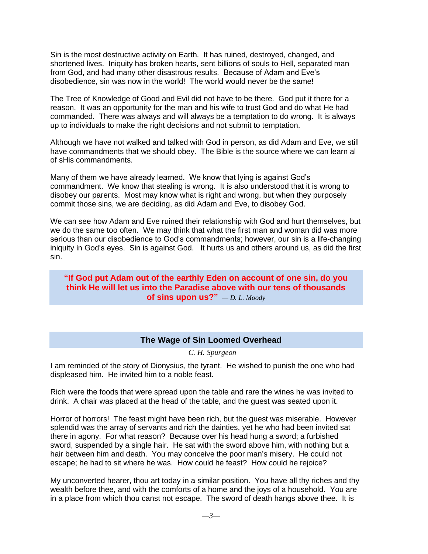Sin is the most destructive activity on Earth. It has ruined, destroyed, changed, and shortened lives. Iniquity has broken hearts, sent billions of souls to Hell, separated man from God, and had many other disastrous results. Because of Adam and Eve's disobedience, sin was now in the world! The world would never be the same!

The Tree of Knowledge of Good and Evil did not have to be there. God put it there for a reason. It was an opportunity for the man and his wife to trust God and do what He had commanded. There was always and will always be a temptation to do wrong. It is always up to individuals to make the right decisions and not submit to temptation.

Although we have not walked and talked with God in person, as did Adam and Eve, we still have commandments that we should obey. The Bible is the source where we can learn al of sHis commandments.

Many of them we have already learned. We know that lying is against God's commandment. We know that stealing is wrong. It is also understood that it is wrong to disobey our parents. Most may know what is right and wrong, but when they purposely commit those sins, we are deciding, as did Adam and Eve, to disobey God.

We can see how Adam and Eve ruined their relationship with God and hurt themselves, but we do the same too often. We may think that what the first man and woman did was more serious than our disobedience to God's commandments; however, our sin is a life-changing iniquity in God's eyes. Sin is against God. It hurts us and others around us, as did the first sin.

**"If God put Adam out of the earthly Eden on account of one sin, do you think He will let us into the Paradise above with our tens of thousands of sins upon us?"** *— D. L. Moody*

## **The Wage of Sin Loomed Overhead**

*C. H. Spurgeon*

<span id="page-2-0"></span>I am reminded of the story of Dionysius, the tyrant. He wished to punish the one who had displeased him. He invited him to a noble feast.

Rich were the foods that were spread upon the table and rare the wines he was invited to drink. A chair was placed at the head of the table, and the guest was seated upon it.

Horror of horrors! The feast might have been rich, but the guest was miserable. However splendid was the array of servants and rich the dainties, yet he who had been invited sat there in agony. For what reason? Because over his head hung a sword; a furbished sword, suspended by a single hair. He sat with the sword above him, with nothing but a hair between him and death. You may conceive the poor man's misery. He could not escape; he had to sit where he was. How could he feast? How could he rejoice?

My unconverted hearer, thou art today in a similar position. You have all thy riches and thy wealth before thee, and with the comforts of a home and the joys of a household. You are in a place from which thou canst not escape. The sword of death hangs above thee. It is